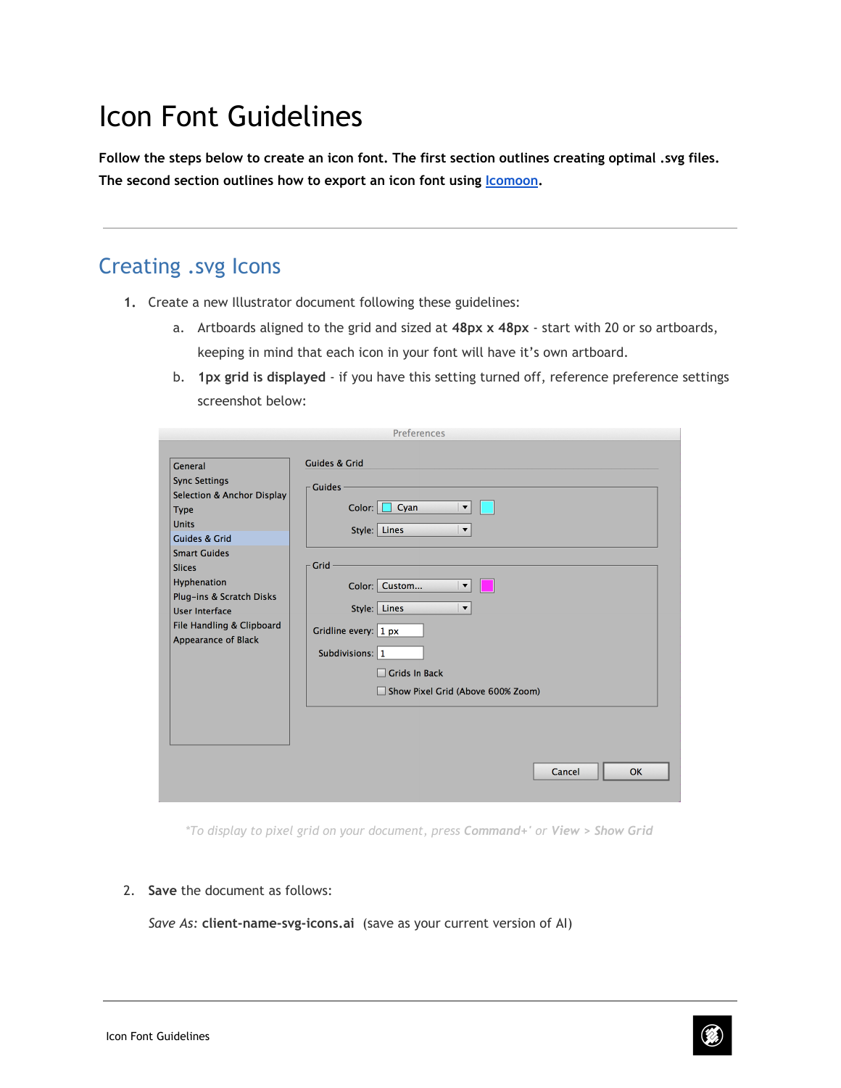# Icon Font Guidelines

**Follow the steps below to create an icon font. The first section outlines creating optimal .svg files. The second section outlines how to export an icon font using [Icomoon](https://www.google.com/url?q=https%3A%2F%2Ficomoon.io%2F&sa=D&sntz=1&usg=AFQjCNF4Mn0BcP339Q3L9zuC7WD67M7Q4g).**

### Creating .svg Icons

- **1.** Create a new Illustrator document following these guidelines:
	- a. Artboards aligned to the grid and sized at **48px x 48px** start with 20 or so artboards, keeping in mind that each icon in your font will have it's own artboard.
	- b. **1px grid is displayed** if you have this setting turned off, reference preference settings screenshot below:

|                                                                                                                                                                                                                                                                                          | Preferences                                                                                                                                                                                                                                                                                                                                                        |
|------------------------------------------------------------------------------------------------------------------------------------------------------------------------------------------------------------------------------------------------------------------------------------------|--------------------------------------------------------------------------------------------------------------------------------------------------------------------------------------------------------------------------------------------------------------------------------------------------------------------------------------------------------------------|
| General<br><b>Sync Settings</b><br>Selection & Anchor Display<br><b>Type</b><br><b>Units</b><br><b>Guides &amp; Grid</b><br><b>Smart Guides</b><br><b>Slices</b><br>Hyphenation<br>Plug-ins & Scratch Disks<br><b>User Interface</b><br>File Handling & Clipboard<br>Appearance of Black | <b>Guides &amp; Grid</b><br><b>Guides</b><br>Color:  <br>$\Box$ Cyan<br>$\blacktriangledown$<br>Style: Lines<br>$\blacktriangledown$<br>Grid<br>Color: Custom<br>$\blacktriangledown$<br>Style: Lines<br>$\blacktriangledown$<br>Gridline every: $1px$<br>Subdivisions: 1<br><b>Grids In Back</b><br>H<br>Show Pixel Grid (Above 600% Zoom)<br><b>OK</b><br>Cancel |
|                                                                                                                                                                                                                                                                                          |                                                                                                                                                                                                                                                                                                                                                                    |

*\*To display to pixel grid on your document, press Command+' or View > Show Grid*

2. **Save** the document as follows:

*Save As:* **client-name-svg-icons.ai** (save as your current version of AI)

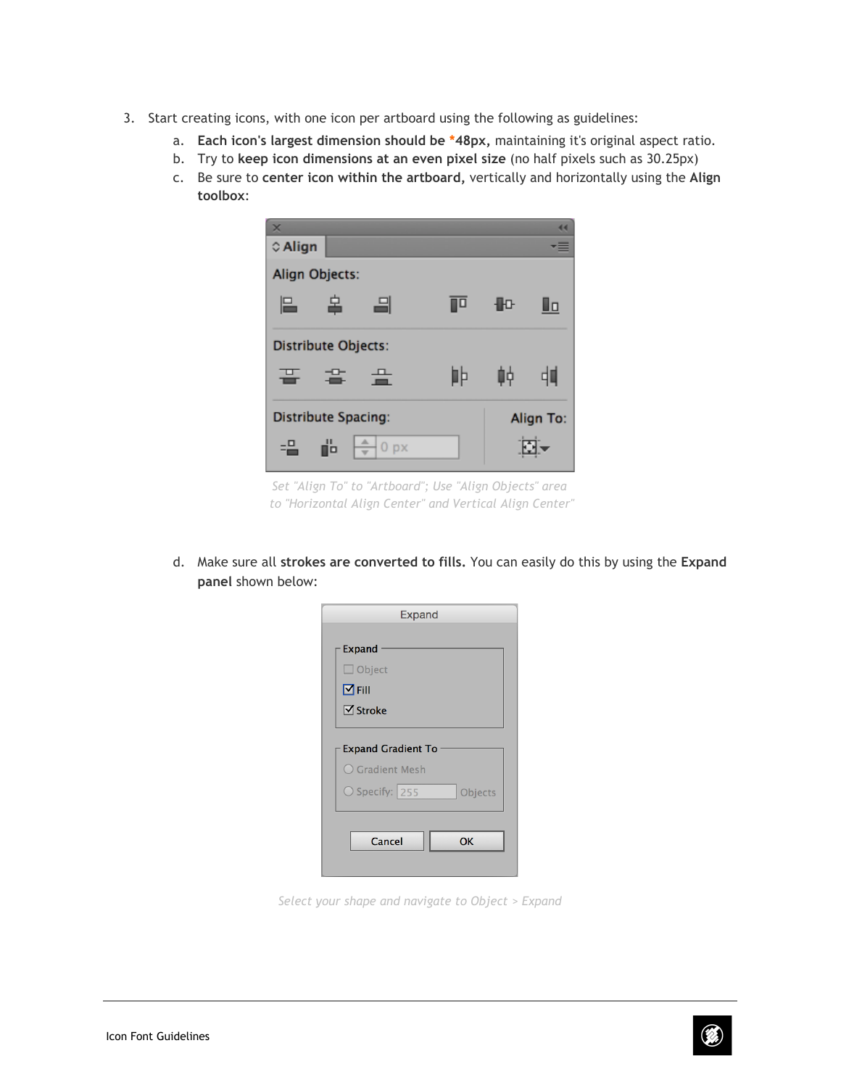- 3. Start creating icons, with one icon per artboard using the following as guidelines:
	- a. **Each icon's largest dimension should be \*48px,** maintaining it's original aspect ratio.
	- b. Try to **keep icon dimensions at an even pixel size** (no half pixels such as 30.25px)
	- c. Be sure to **center icon within the artboard,** vertically and horizontally using the **Align toolbox**:

| $\times$ |                            |                 |    |    |           |
|----------|----------------------------|-----------------|----|----|-----------|
| © Align  |                            |                 |    |    |           |
|          | Align Objects:             |                 |    |    |           |
| L        | 畠                          | ᆿ               | ⊪¤ | ⊪⊪ | Ūα        |
|          | <b>Distribute Objects:</b> |                 |    |    |           |
| 끝        | 麘                          | 曡               | ∎Þ | 岫  | ᇜ         |
|          | <b>Distribute Spacing:</b> |                 |    |    | Align To: |
| -음       | ď                          | 0 <sub>px</sub> |    |    |           |

*Set "Align To" to "Artboard"; Use "Align Objects" area to "Horizontal Align Center" and Vertical Align Center"*

d. Make sure all **strokes are converted to fills.** You can easily do this by using the **Expand panel** shown below:

| <b>Expand</b>                                                           |           |
|-------------------------------------------------------------------------|-----------|
| Expand                                                                  |           |
| $\Box$ Object                                                           |           |
| $\blacksquare$ Fill                                                     |           |
| $\triangledown$ Stroke                                                  |           |
| <b>Expand Gradient To</b><br>$\bigcirc$ Gradient Mesh<br>O Specify: 255 | Objects   |
| Cancel                                                                  | <b>OK</b> |

*Select your shape and navigate to Object > Expand*

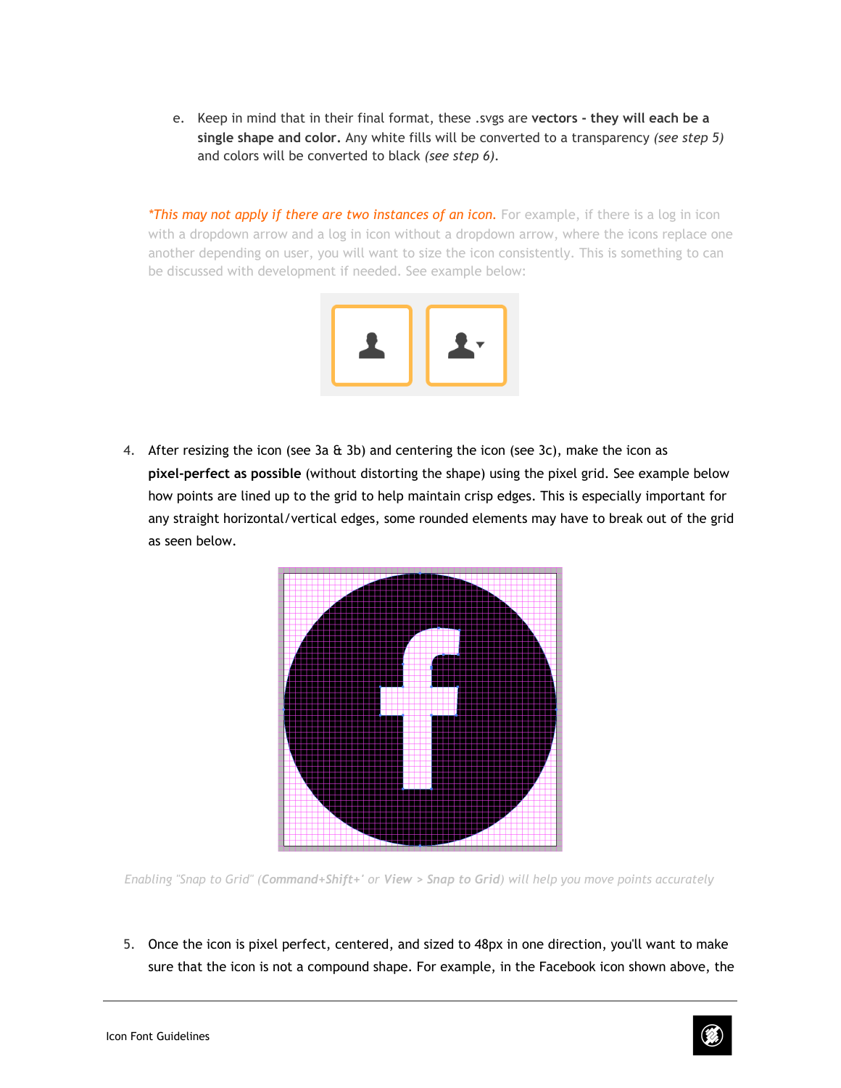e. Keep in mind that in their final format, these .svgs are **vectors - they will each be a single shape and color.** Any white fills will be converted to a transparency *(see step 5)* and colors will be converted to black *(see step 6).*

*\*This may not apply if there are two instances of an icon.* For example, if there is a log in icon with a dropdown arrow and a log in icon without a dropdown arrow, where the icons replace one another depending on user, you will want to size the icon consistently. This is something to can be discussed with development if needed. See example below:



4. After resizing the icon (see 3a  $\&$  3b) and centering the icon (see 3c), make the icon as **pixel-perfect as possible** (without distorting the shape) using the pixel grid. See example below how points are lined up to the grid to help maintain crisp edges. This is especially important for any straight horizontal/vertical edges, some rounded elements may have to break out of the grid as seen below.



Enabling "Snap to Grid" (Command+Shift+' or View > Snap to Grid) will help you move points accurately

5. Once the icon is pixel perfect, centered, and sized to 48px in one direction, you'll want to make sure that the icon is not a compound shape. For example, in the Facebook icon shown above, the

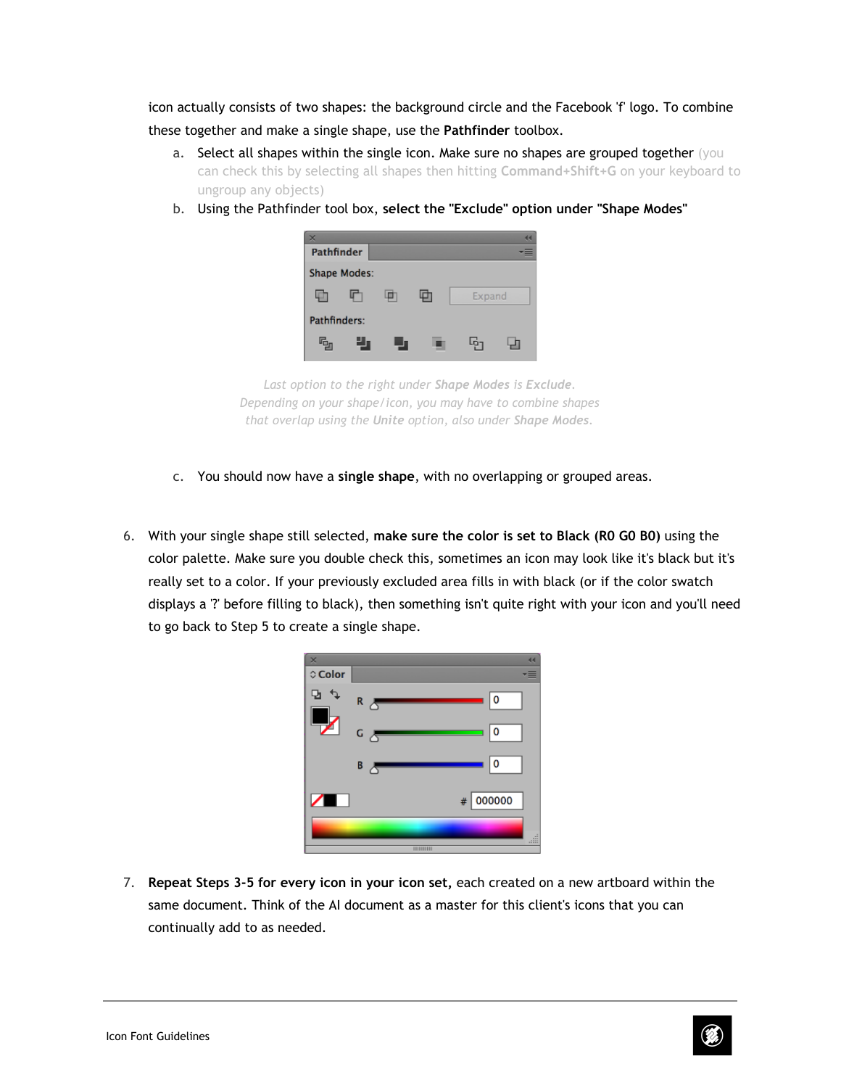icon actually consists of two shapes: the background circle and the Facebook 'f' logo. To combine these together and make a single shape, use the **Pathfinder** toolbox.

- a. Select all shapes within the single icon. Make sure no shapes are grouped together (you can check this by selecting all shapes then hitting **Command+Shift+G** on your keyboard to ungroup any objects)
- b. Using the Pathfinder tool box, **select the "Exclude" option under "Shape Modes"**
	- Pathfinder **Shape Modes:** 動 叶 loh, 動 Expand Pathfinders: q, υ, Ģ, 뎝

*Last option to the right under Shape Modes is Exclude. Depending on your shape/icon, you may have to combine shapes that overlap using the Unite option, also under Shape Modes.*

- c. You should now have a **single shape**, with no overlapping or grouped areas.
- 6. With your single shape still selected, **make sure the color is set to Black (R0 G0 B0)** using the color palette. Make sure you double check this, sometimes an icon may look like it's black but it's really set to a color. If your previously excluded area fills in with black (or if the color swatch displays a '?' before filling to black), then something isn't quite right with your icon and you'll need to go back to Step 5 to create a single shape.

| $\times$<br>≎ Color |                            | 44<br>≡  |
|---------------------|----------------------------|----------|
| Q,                  | ۱o<br>$R$ $\Delta$         |          |
|                     | 0 ا<br>G A                 |          |
|                     | 0 ا<br>$B \nightharpoonup$ |          |
| $\sqrt{2}$          | 000000<br>#                |          |
|                     | HIIIIIII                   | 918<br>m |

7. **Repeat Steps 3-5 for every icon in your icon set,** each created on a new artboard within the same document. Think of the AI document as a master for this client's icons that you can continually add to as needed.

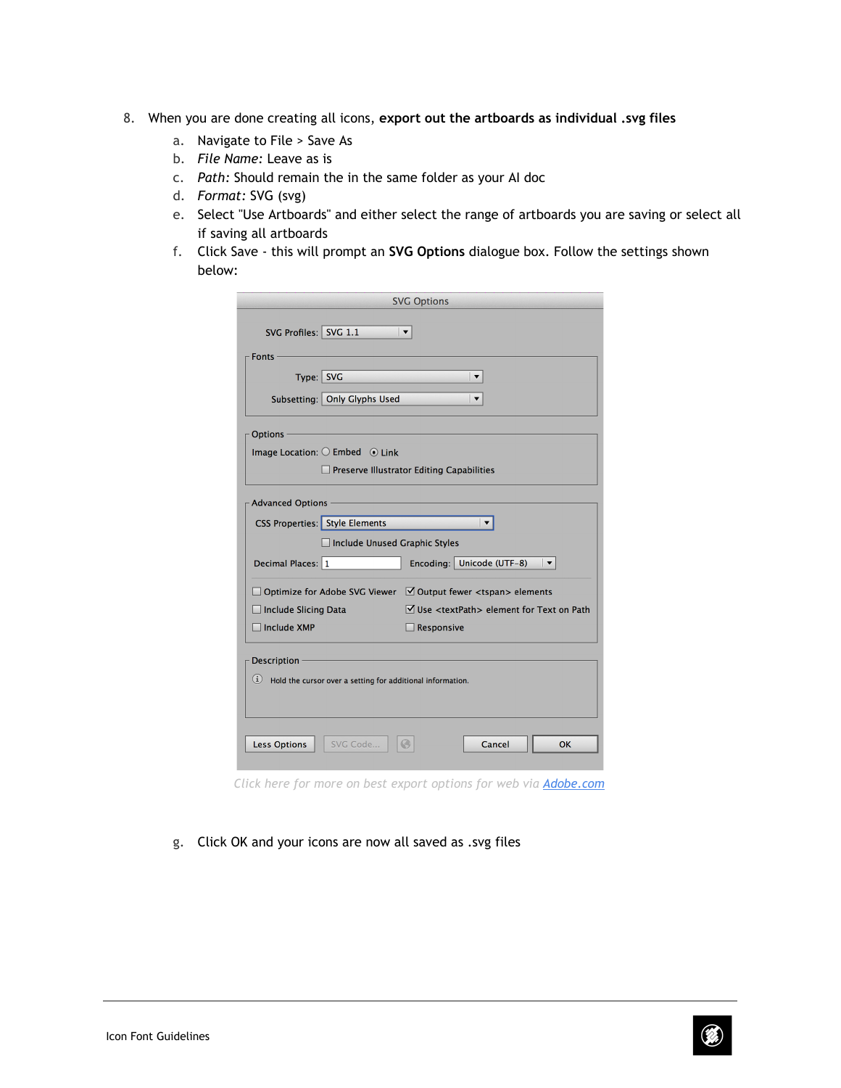- 8. When you are done creating all icons, **export out the artboards as individual .svg files**
	- a. Navigate to File > Save As
	- b. *File Name:* Leave as is
	- c. *Path:* Should remain the in the same folder as your AI doc
	- d. *Format:* SVG (svg)
	- e. Select "Use Artboards" and either select the range of artboards you are saving or select all if saving all artboards
	- f. Click Save this will prompt an **SVG Options** dialogue box. Follow the settings shown below:

| <b>SVG Options</b>                                                                          |
|---------------------------------------------------------------------------------------------|
| SVG Profiles: SVG 1.1<br>$\blacktriangledown$                                               |
| Fonts                                                                                       |
| Type: SVG<br>$\blacktriangledown$                                                           |
| Subsetting:   Only Glyphs Used<br>$\blacktriangledown$                                      |
| <b>Options</b>                                                                              |
| Image Location: $\bigcirc$ Embed $\bigcirc$ Link                                            |
| $\Box$ Preserve Illustrator Editing Capabilities                                            |
| <b>Advanced Options</b>                                                                     |
| <b>CSS Properties: Style Elements</b><br>$\blacktriangledown$                               |
| □ Include Unused Graphic Styles                                                             |
| Encoding: Unicode (UTF-8)<br>Decimal Places: 1<br>$\overline{\phantom{a}}$                  |
| $\Box$ Optimize for Adobe SVG Viewer $\Box$ Output fewer <tspan> elements</tspan>           |
| $\triangledown$ Use <textpath> element for Text on Path<br/>Include Slicing Data</textpath> |
| Include XMP<br>$\Box$ Responsive                                                            |
| <b>Description</b>                                                                          |
| $(i)$ Hold the cursor over a setting for additional information.                            |
| Cancel<br><b>Less Options</b><br>SVG Code<br>OK                                             |

*Click here for more on best export [options](http://www.google.com/url?q=http%3A%2F%2Fwww.adobe.com%2Finspire%2F2013%2F09%2Fexporting-svg-illustrator.html&sa=D&sntz=1&usg=AFQjCNEfSnkw5hGkT4cy6dHEOnF5gwafsg) for web vi[a](http://www.google.com/url?q=http%3A%2F%2Fwww.adobe.com%2Finspire%2F2013%2F09%2Fexporting-svg-illustrator.html&sa=D&sntz=1&usg=AFQjCNEfSnkw5hGkT4cy6dHEOnF5gwafsg) [Adobe.com](http://www.google.com/url?q=http%3A%2F%2Fwww.adobe.com%2Finspire%2F2013%2F09%2Fexporting-svg-illustrator.html&sa=D&sntz=1&usg=AFQjCNEfSnkw5hGkT4cy6dHEOnF5gwafsg)*

g. Click OK and your icons are now all saved as .svg files

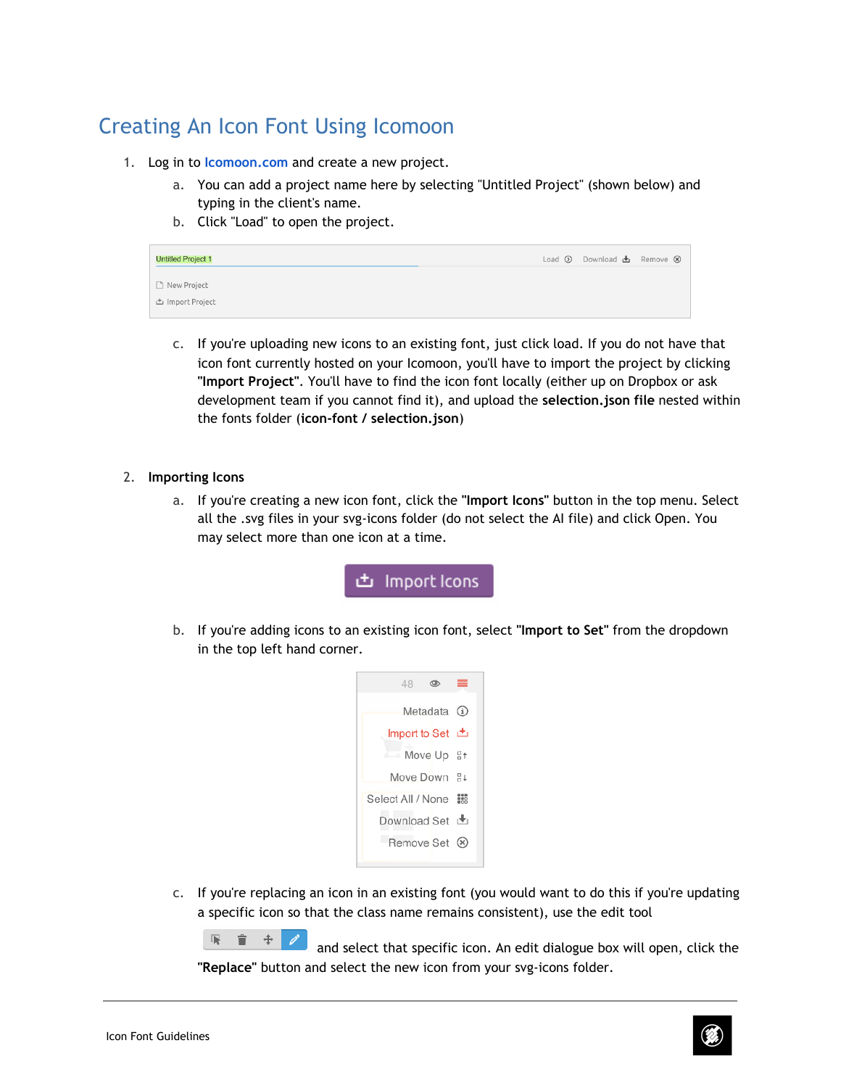## Creating An Icon Font Using Icomoon

- 1. Log in to **[Icomoon.com](http://www.google.com/url?q=http%3A%2F%2Ficomoon.io%2Fapp%2F%23%2Fprojects&sa=D&sntz=1&usg=AFQjCNHtwWSkpfZXtZwb2pwNeL8Mi9J73Q)** and create a new project.
	- a. You can add a project name here by selecting "Untitled Project" (shown below) and typing in the client's name.
	- b. Click "Load" to open the project.

| <b>Untitled Project 1</b>              | Load $\odot$ Download $\biguplus$ Remove $\otimes$ |
|----------------------------------------|----------------------------------------------------|
| Rew Project<br><b>出 Import Project</b> |                                                    |

c. If you're uploading new icons to an existing font, just click load. If you do not have that icon font currently hosted on your Icomoon, you'll have to import the project by clicking **"Import Project"**. You'll have to find the icon font locally (either up on Dropbox or ask development team if you cannot find it), and upload the **selection.json file** nested within the fonts folder (**icon-font / selection.json**)

#### 2. **Importing Icons**

a. If you're creating a new icon font, click the **"Import Icons"** button in the top menu. Select all the .svg files in your svg-icons folder (do not select the AI file) and click Open. You may select more than one icon at a time.

**±** Import Icons

b. If you're adding icons to an existing icon font, select **"Import to Set"** from the dropdown in the top left hand corner.



c. If you're replacing an icon in an existing font (you would want to do this if you're updating a specific icon so that the class name remains consistent), use the edit tool

呢。 ■ ÷ - I and select that specific icon. An edit dialogue box will open, click the **"Replace"** button and select the new icon from your svg-icons folder.

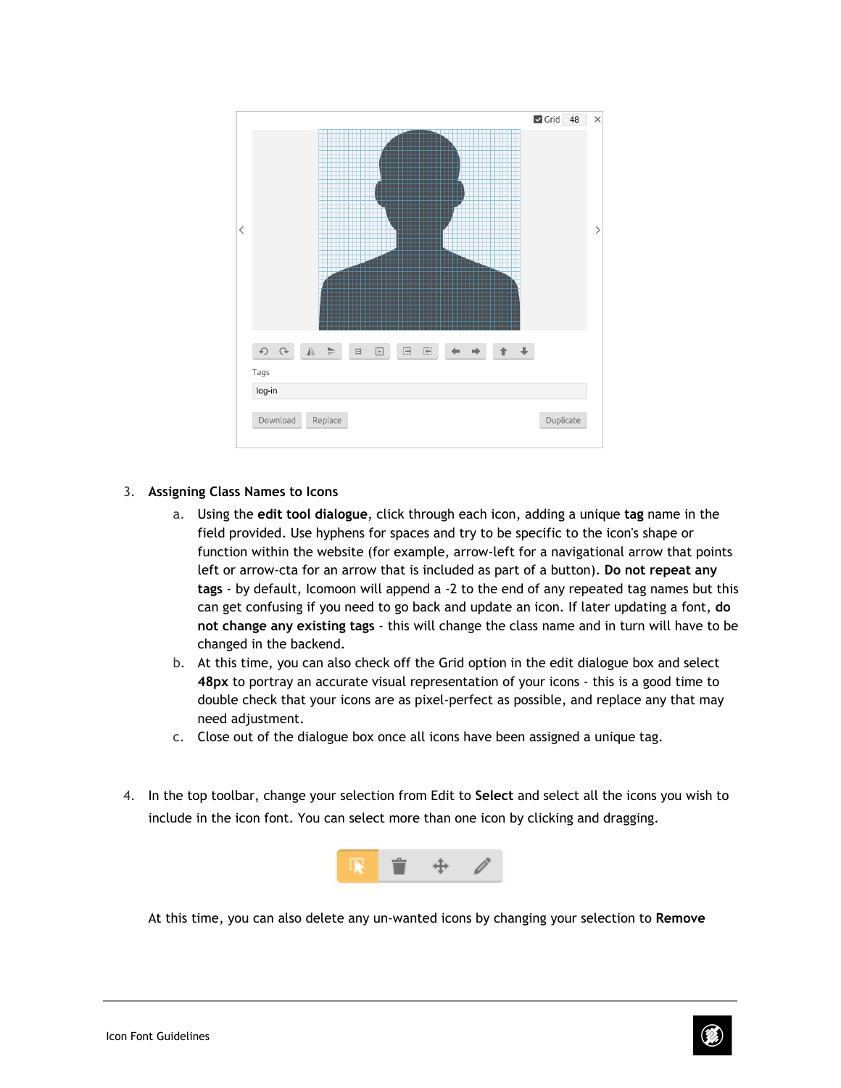

#### 3. **Assigning Class Names to Icons**

- a. Using the **edit tool dialogue**, click through each icon, adding a unique **tag** name in the field provided. Use hyphens for spaces and try to be specific to the icon's shape or function within the website (for example, arrow-left for a navigational arrow that points left or arrow-cta for an arrow that is included as part of a button). **Do not repeat any tags** - by default, Icomoon will append a -2 to the end of any repeated tag names but this can get confusing if you need to go back and update an icon. If later updating a font, **do not change any existing tags** - this will change the class name and in turn will have to be changed in the backend.
- b. At this time, you can also check off the Grid option in the edit dialogue box and select **48px** to portray an accurate visual representation of your icons - this is a good time to double check that your icons are as pixel-perfect as possible, and replace any that may need adjustment.
- c. Close out of the dialogue box once all icons have been assigned a unique tag.
- 4. In the top toolbar, change your selection from Edit to **Select** and select all the icons you wish to include in the icon font. You can select more than one icon by clicking and dragging.



At this time, you can also delete any un-wanted icons by changing your selection to **Remove**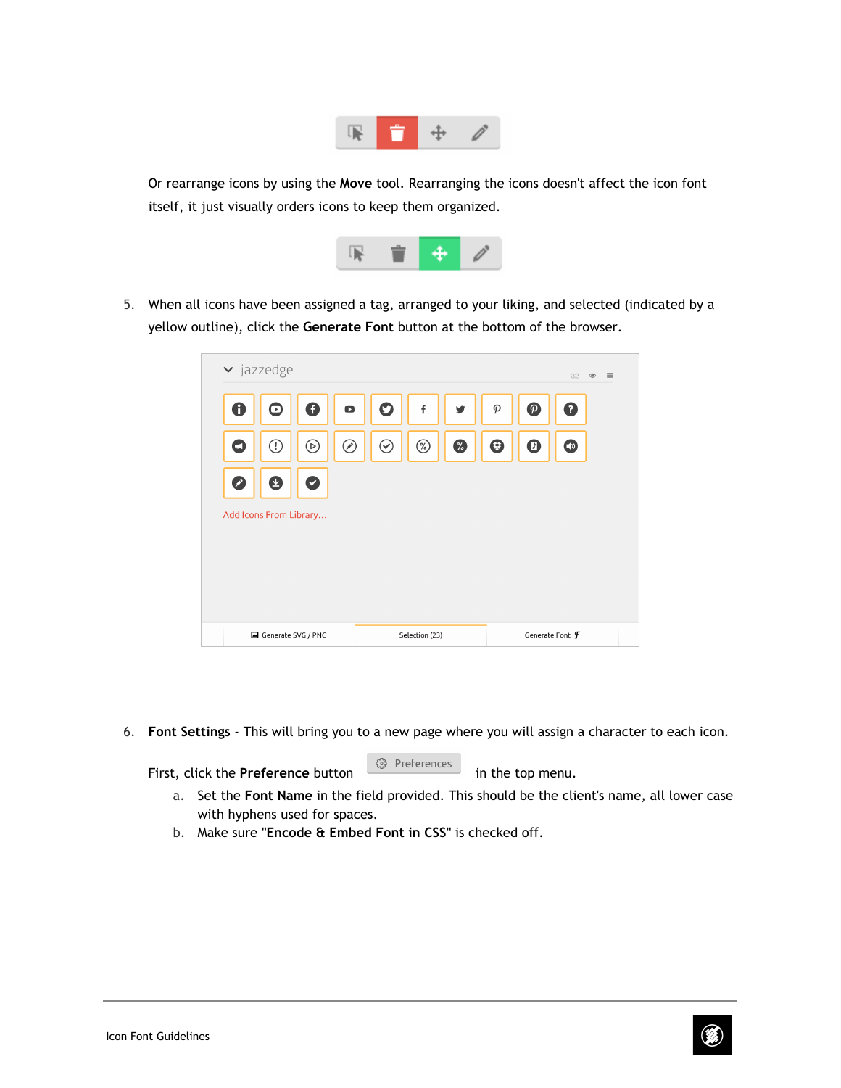

Or rearrange icons by using the **Move** tool. Rearranging the icons doesn't affect the icon font itself, it just visually orders icons to keep them organized.



5. When all icons have been assigned a tag, arranged to your liking, and selected (indicated by a yellow outline), click the **Generate Font** button at the bottom of the browser.

|                  | $\blacktriangleright$ jazzedge |              |           |             |                |   |                            |               | 32                              | $=$<br>$\circledcirc$ |
|------------------|--------------------------------|--------------|-----------|-------------|----------------|---|----------------------------|---------------|---------------------------------|-----------------------|
| $\mathbf \Theta$ | [★]                            | O            | $\bullet$ | $\mathbf O$ | f              | v | $\boldsymbol{\mathcal{P}}$ | $\mathcal{P}$ | 0                               |                       |
| $\blacksquare$   | O)                             | ⓒ            | ☞         | $\odot$     | $\circledR$    | % | ⊕                          | $\bullet$     | $\bigcirc$                      |                       |
| Ø                | ¥                              | $\checkmark$ |           |             |                |   |                            |               |                                 |                       |
|                  | Add Icons From Library         |              |           |             |                |   |                            |               |                                 |                       |
|                  |                                |              |           |             |                |   |                            |               |                                 |                       |
|                  |                                |              |           |             |                |   |                            |               |                                 |                       |
|                  | Generate SVG / PNG             |              |           |             | Selection (23) |   |                            |               | Generate Font $\bm{\mathit{f}}$ |                       |

6. **Font Settings** - This will bring you to a new page where you will assign a character to each icon.

First, click the **Preference** button **in the top menu.** First, click the **Preference** button **in** the top menu.

- a. Set the **Font Name** in the field provided. This should be the client's name, all lower case with hyphens used for spaces.
- b. Make sure **"Encode & Embed Font in CSS"** is checked off.

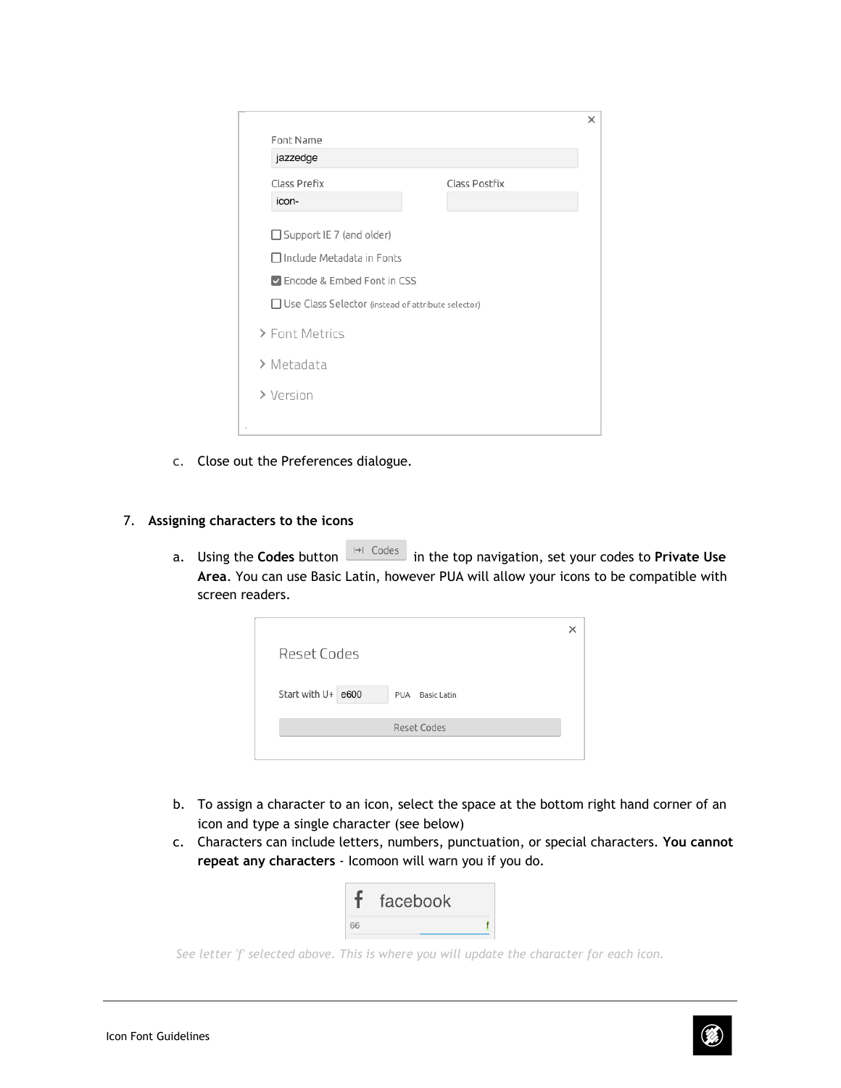|    | Font Name<br>jazzedge                                |               | × |
|----|------------------------------------------------------|---------------|---|
|    | Class Prefix                                         | Class Postfix |   |
|    | icon-                                                |               |   |
|    | □ Support IE 7 (and older)                           |               |   |
|    | $\Box$ Include Metadata in Fonts                     |               |   |
|    | Encode & Embed Font in CSS                           |               |   |
|    | □ Use Class Selector (instead of attribute selector) |               |   |
|    | > Font Metrics                                       |               |   |
|    | > Metadata                                           |               |   |
|    | > Version                                            |               |   |
| h, |                                                      |               |   |

c. Close out the Preferences dialogue.

#### 7. **Assigning characters to the icons**

a. Using the **Codes** button **in Codes** in the top navigation, set your codes to **Private Use Area**. You can use Basic Latin, however PUA will allow your icons to be compatible with screen readers.

| <b>Reset Codes</b> |                           |
|--------------------|---------------------------|
| Start with U+ e600 | <b>Basic Latin</b><br>PUA |
|                    | Reset Codes               |
|                    |                           |

- b. To assign a character to an icon, select the space at the bottom right hand corner of an icon and type a single character (see below)
- c. Characters can include letters, numbers, punctuation, or special characters. **You cannot repeat any characters** - Icomoon will warn you if you do.

|    | facebook |  |
|----|----------|--|
| 66 |          |  |

*See letter 'f' selected above. This is where you will update the character for each icon.*